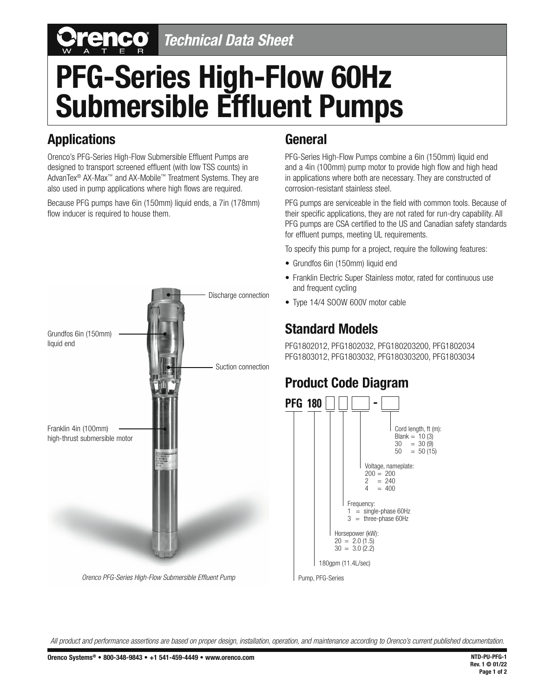# *Technical Data Sheet*

# **PFG-Series High-Flow 60Hz Submersible Effluent Pumps**

#### **Applications**

Orenco's PFG-Series High-Flow Submersible Effluent Pumps are designed to transport screened effluent (with low TSS counts) in AdvanTex® AX-Max™ and AX-Mobile™ Treatment Systems. They are also used in pump applications where high flows are required.

Because PFG pumps have 6in (150mm) liquid ends, a 7in (178mm) flow inducer is required to house them.



*Orenco PFG-Series High-Flow Submersible Effluent Pump* 

#### **General**

PFG-Series High-Flow Pumps combine a 6in (150mm) liquid end and a 4in (100mm) pump motor to provide high flow and high head in applications where both are necessary. They are constructed of corrosion-resistant stainless steel.

PFG pumps are serviceable in the field with common tools. Because of their specific applications, they are not rated for run-dry capability. All PFG pumps are CSA certified to the US and Canadian safety standards for effluent pumps, meeting UL requirements.

To specify this pump for a project, require the following features:

- Grundfos 6in (150mm) liquid end
- Franklin Electric Super Stainless motor, rated for continuous use and frequent cycling
- Type 14/4 SOOW 600V motor cable

### **Standard Models**

PFG1802012, PFG1802032, PFG180203200, PFG1802034 PFG1803012, PFG1803032, PFG180303200, PFG1803034

### **Product Code Diagram**



Pump, PFG-Series

*All product and performance assertions are based on proper design, installation, operation, and maintenance according to Orenco's current published documentation.*